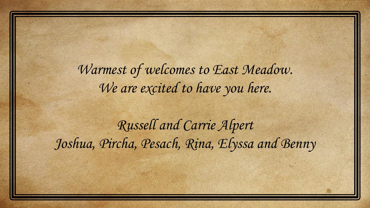Warmest of welcomes to East Meadow. We are excited to have you here.

Russell and Carrie Alpert Joshua, Pircha, Pesach, Rina, Elyssa and Benny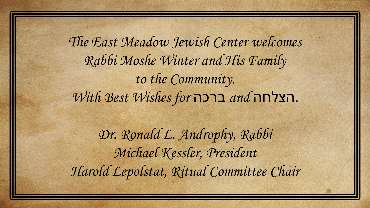The East Meadow Jewish Center welcomes Rabbi Moshe Winter and His Family to the Community. With Best Wishes for ברכה and הצלחה.

Dr. Ronald L. Androphy, Rabbi Michael Kessler, President Harold Lepolstat, Ritual Committee Chair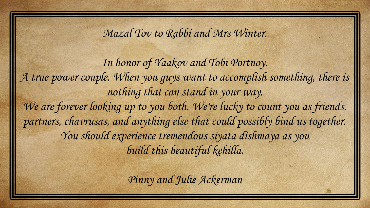Mazal Tov to Rabbi and Mrs Winter.

In honor of Yaakov and Tobi Portnoy. A true power couple. When you guys want to accomplish something, there is nothing that can stand in your way. We are forever looking up to you both. We're lucky to count you as friends, partners, chavrusas, and anything else that could possibly bind us together. You should experience tremendous siyata dishmaya as you build this beautiful kehilla.

Pinny and Julie Ackerman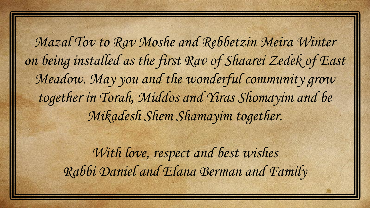Mazal Tov to Rav Moshe and Rebbetzin Meira Winter on being installed as the first Rav of Shaarei Zedek of East Meadow. May you and the wonderful community grow together in Torah, Middos and Yiras Shomayim and be Mikadesh Shem Shamayim together.

> With love, respect and best wishes Rabbi Daniel and Elana Berman and Family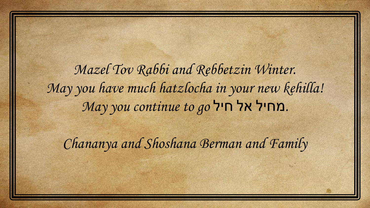Mazel Tov Rabbi and Rebbetzin Winter. May you have much hatzlocha in your new kehilla! May you continue to go חיל אל חיל אם.

Chananya and Shoshana Berman and Family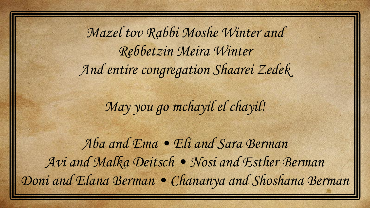Mazel tov Rabbi Moshe Winter and Rebbetzin Meira Winter And entire congregation Shaarei Zedek

May you go mchayil el chayil!

Aba and Ema • Eli and Sara Berman Avi and Malka Deitsch • Nosi and Esther Berman Doni and Elana Berman • Chananya and Shoshana Berman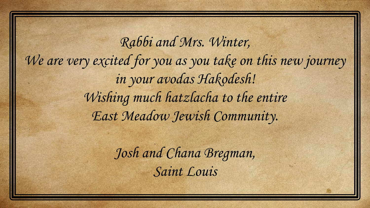Rabbi and Mrs. Winter, We are very excited for you as you take on this new journey in your avodas Hakodesh! Wishing much hatzlacha to the entire East Meadow Jewish Community.

> Josh and Chana Bregman, Saint Louis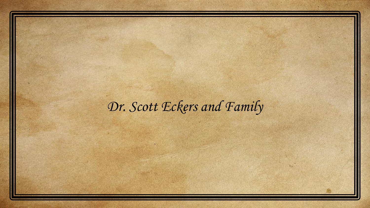## Dr. Scott Eckers and Family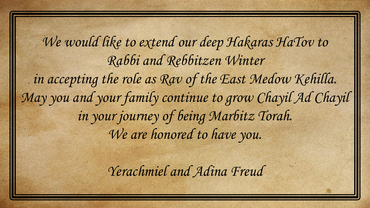We would like to extend our deep Hakaras HaTov to Rabbi and Rebbitzen Winter in accepting the role as Rav of the East Medow Kehilla. May you and your family continue to grow Chayil Ad Chayil in your journey of being Marbitz Torah. We are honored to have you.

Yerachmiel and Adina Freud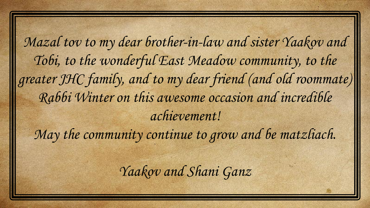Mazal tov to my dear brother-in-law and sister Yaakov and Tobi, to the wonderful East Meadow community, to the greater JHC family, and to my dear friend (and old roommate) Rabbi Winter on this awesome occasion and incredible achievement!

May the community continue to grow and be matzliach.

Yaakov and Shani Ganz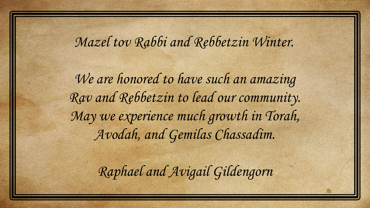Mazel tov Rabbi and Rebbetzin Winter.

We are honored to have such an amazing Rav and Rebbetzin to lead our community. May we experience much growth in Torah, Avodah, and Gemilas Chassadim.

Raphael and Avigail Gildengorn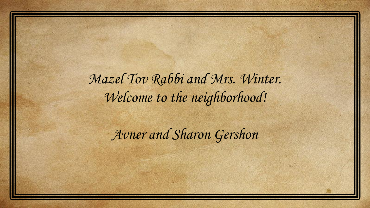Mazel Tov Rabbi and Mrs. Winter. Welcome to the neighborhood!

Avner and Sharon Gershon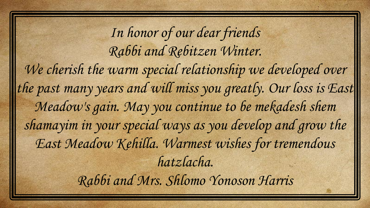In honor of our dear friends Rabbi and Rebitzen Winter. We cherish the warm special relationship we developed over the past many years and will miss you greatly. Our loss is East Meadow's gain. May you continue to be mekadesh shem shamayim in your special ways as you develop and grow the East Meadow Kehilla. Warmest wishes for tremendous hatzlacha. Rabbi and Mrs. Shlomo Yonoson Harris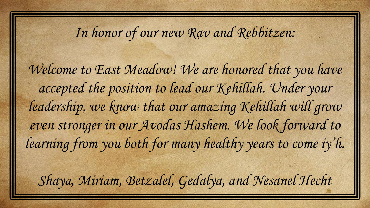## In honor of our new Rav and Rebbitzen:

Welcome to East Meadow! We are honored that you have accepted the position to lead our Kehillah. Under your leadership, we know that our amazing Kehillah will grow even stronger in our Avodas Hashem. We look forward to learning from you both for many healthy years to come iy'h. Shaya, Miriam, Betzalel, Gedalya, and Nesanel Hecht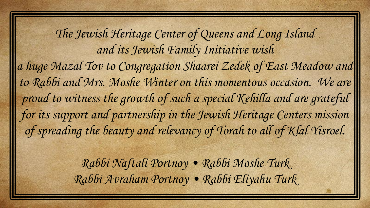The Jewish Heritage Center of Queens and Long Island and its Jewish Family Initiative wish a huge Mazal Tov to Congregation Shaarei Zedek of East Meadow and to Rabbi and Mrs. Moshe Winter on this momentous occasion. We are proud to witness the growth of such a special Kehilla and are grateful for its support and partnership in the Jewish Heritage Centers mission of spreading the beauty and relevancy of Torah to all of Klal Yisroel.

> Rabbi Naftali Portnoy • Rabbi Moshe Turk Rabbi Avraham Portnoy • Rabbi Eliyahu Turk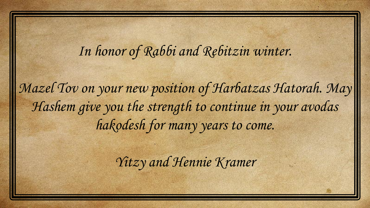## In honor of Rabbi and Rebitzin winter.

Mazel Tov on your new position of Harbatzas Hatorah. May Hashem give you the strength to continue in your avodas hakodesh for many years to come.

Yitzy and Hennie Kramer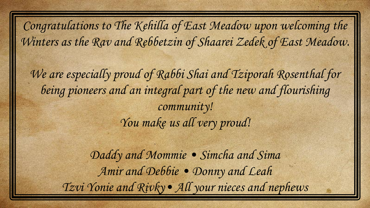Congratulations to The Kehilla of East Meadow upon welcoming the Winters as the Rav and Rebbetzin of Shaarei Zedek of East Meadow.

We are especially proud of Rabbi Shai and Tziporah Rosenthal for being pioneers and an integral part of the new and flourishing community! You make us all very proud!

> Daddy and Mommie . Simcha and Sima Amir and Debbie • Donny and Leah Tzvi Yonie and Rivky• All your nieces and nephews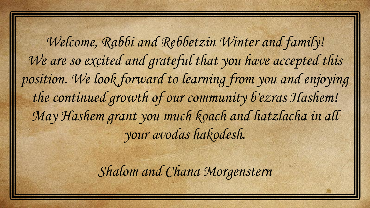Welcome, Rabbi and Rebbetzin Winter and family! We are so excited and grateful that you have accepted this position. We look forward to learning from you and enjoying the continued growth of our community b'ezras Hashem! May Hashem grant you much koach and hatzlacha in all your avodas hakodesh.

Shalom and Chana Morgenstern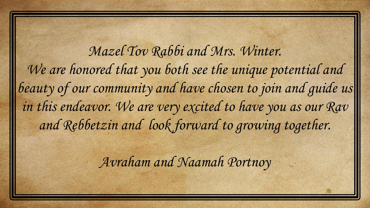Mazel Tov Rabbi and Mrs. Winter. We are honored that you both see the unique potential and beauty of our community and have chosen to join and quide us in this endeavor. We are very excited to have you as our Rav and Rebbetzin and look forward to growing together.

Avraham and Naamah Portnoy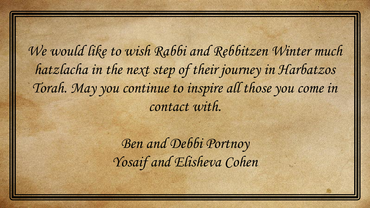We would like to wish Rabbi and Rebbitzen Winter much hatzlacha in the next step of their journey in Harbatzos Torah. May you continue to inspire all those you come in contact with.

> Ben and Debbi Portnoy Yosaif and Elisheva Cohen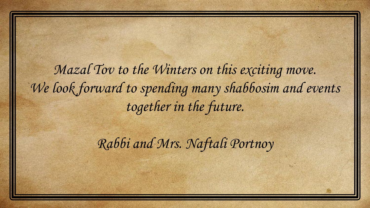Mazal Tov to the Winters on this exciting move. We look forward to spending many shabbosim and events together in the future.

Rabbi and Mrs. Naftali Portnoy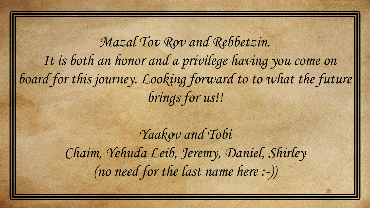Mazal Tov Rov and Rebbetzin. It is both an honor and a privilege having you come on board for this journey. Looking forward to to what the future brings for us!!

> Yaakov and Tobi Chaim, Yehuda Leib, Jeremy, Daniel, Shirley (no need for the last name here :-))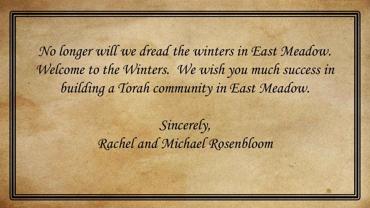No longer will we dread the winters in East Meadow. Welcome to the Winters. We wish you much success in building a Torah community in East Meadow.

> Sincerely, Rachel and Michael Rosenbloom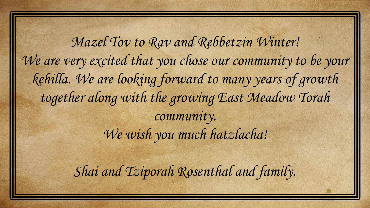Mazel Tov to Rav and Rebbetzin Winter! We are very excited that you chose our community to be your kehilla. We are looking forward to many years of growth together along with the growing East Meadow Torah community. We wish you much hatzlacha!

Shai and Tziporah Rosenthal and family.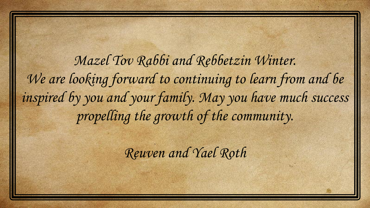Mazel Tov Rabbi and Rebbetzin Winter. We are looking forward to continuing to learn from and be inspired by you and your family. May you have much success propelling the growth of the community.

Reuven and Yael Roth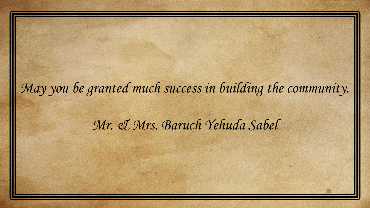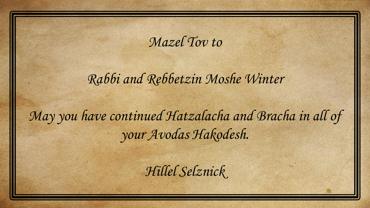Mazel Tov to

Rabbi and Rebbetzin Moshe Winter

May you have continued Hatzalacha and Bracha in all of your Avodas Hakodesh.

Hillel Selznick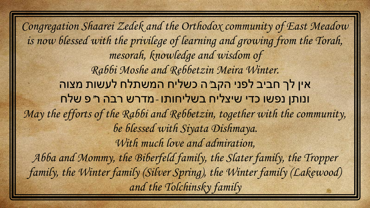Congregation Shaarei Zedek and the Orthodox community of East Meadow is now blessed with the privilege of learning and growing from the Torah, mesorah, knowledge and wisdom of Rabbi Moshe and Rebbetzin Meira Winter. אין לך חביב לפני הקב"ה כשליח המשתלח לעשות מצוה ונותן נפשו כדי שיצליח בשליחותו -מדרש רבה ר"פ שלח May the efforts of the Rabbi and Rebbetzin, together with the community, be blessed with Siyata Dishmaya. With much love and admiration, Abba and Mommy, the Biberfeld family, the Slater family, the Tropper family, the Winter family (Silver Spring), the Winter family (Lakewood) and the Tolchinsky family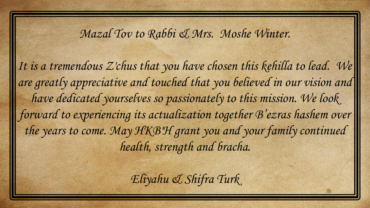## Mazal Tov to Rabbi & Mrs. Moshe Winter.

It is a tremendous Z'chus that you have chosen this kehilla to lead. We are greatly appreciative and touched that you believed in our vision and have dedicated yourselves so passionately to this mission. We look forward to experiencing its actualization together B'ezras hashem over the years to come. May HKB'H grant you and your family continued health, strength and bracha.

Eliyahu & Shifra Turk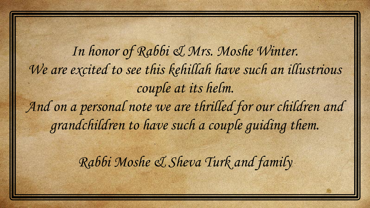In honor of Rabbi & Mrs. Moshe Winter. We are excited to see this kehillah have such an illustrious couple at its helm. And on a personal note we are thrilled for our children and grandchildren to have such a couple guiding them.

Rabbi Moshe & Sheva Turk and family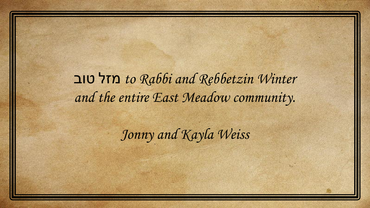טוב מזל to Rabbi and Rebbetzin Winter and the entire East Meadow community.

Jonny and Kayla Weiss